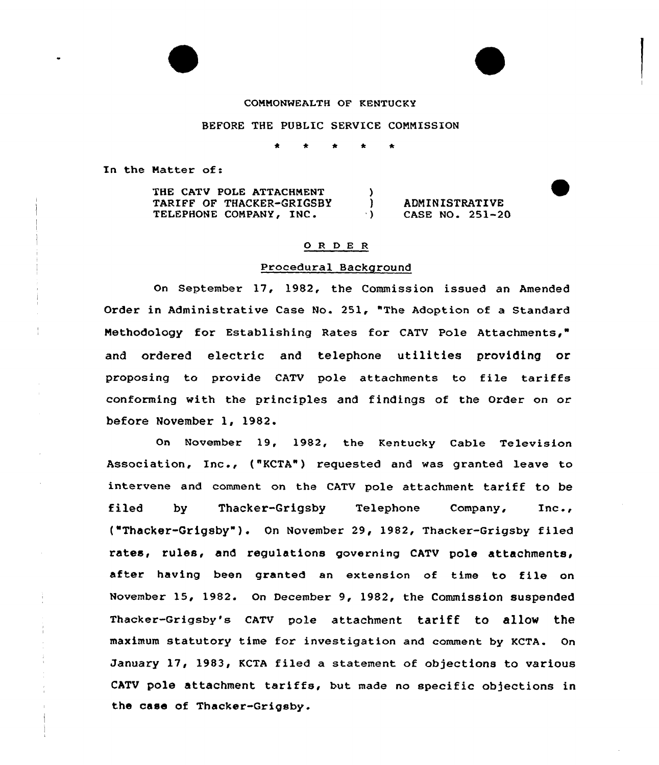#### CONNONWEALTH OF KENTUCKY

#### BEFORE THE PUBLIC SERVICE CONNISSION

In the Natter of:

THE CATV POLE ATTACHMENT TARIFF OF THACKER-GRIGSBY TELEPHONE COMPANY, INC.  $\left\{ \right\}$ (aDMINISTRATIVE)<br>(b) CASE NO. 251-20 CASE NO. 251-20

# 0 <sup>R</sup> <sup>D</sup> E <sup>R</sup>

## Procedural Background

On September 17, 1982, the Commission issued an Amended Order in Administrative Case No. 251, "The Adoption of a Standard Nethodology for Establishing Rates for CATV Pole Attachments," and ordered electric and telephone utilities providing or proposing to provide CATV pole attachments to file tariffs conforming with the principles and findings of the Order on or before November 1, 1982.

On November 19, 1982, the Kentucky Cable Television Association, Inc., ("KCTA") requested and was granted leave to intervene and comment on the CATV pole attachment tariff to be filed by Thacker-Grigsby Telephone Company, Inc., ("Thacker-Grigsby"). On November 29, 1982, Thacker-Grigsby filed rates, rules, and regulations governing CATV pole attachments, after having been granted an extension of time to file on November 15, 1982. On December 9, 1982, the Commission suspended Thacker-Grigsby's cATU pole attachment tariff to allOw the maximum statutory time for investigation and comment by KCTA. On January 17, 1983, KCTA filed a statement of objections to various CATV pole attachment tariffs, but made no specific objections in the case of Thacker-Grigsby.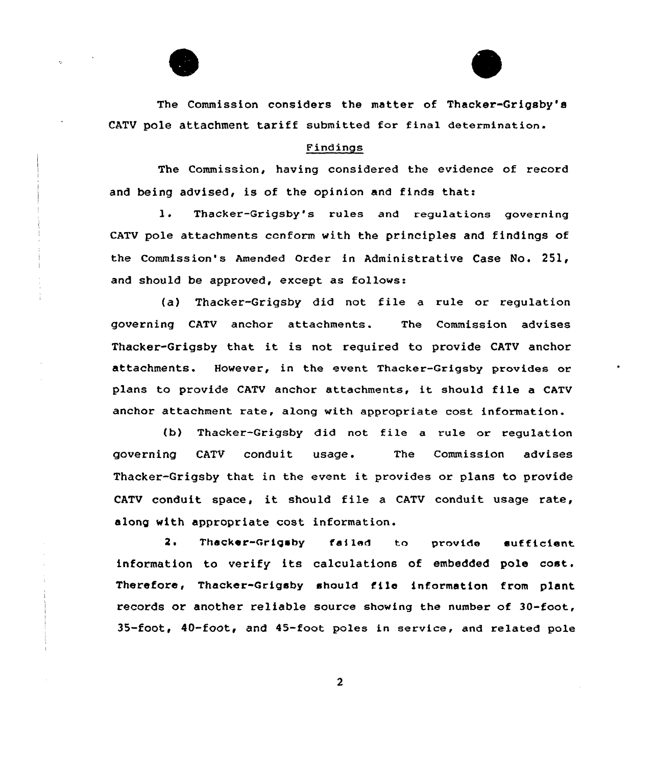



The Commission considers the matter of Thacker-Grigsby's CATV pOle attaChment tariff submitted for final determination.

## Findings

The Commission, having considered the evidence of record and being advised, is of the opinion and finds that:

1. Thacker-Grigsby's rules and regulations governing CATV pale attachments conform with the principles and findings of the Commission's Amended Order in Administrative Case No. 251, and should be approved, except as follows:

(a) Thacker-Grigsby did not file <sup>a</sup> rule or regulation governing CATV anchar attachments. The Commission advises Thacker-Grigsby that it is not required to provide CATV anchor attachments. However, in the event Thacker-Grigsby provides or plans to provide CATV anchor attachments, it should file <sup>a</sup> CATV anchor attachment rate, along with appropriate cost information.

(b) Thacker-Grigsby did not file a rule or requlation governing CATV conduit usage. The Commissian advises Thacker-Grigsby that in the event it provides or plans to provide CATV conduit space, it should file <sup>a</sup> CATV conduit usage rate, along with appropriate cost information.

2. Thacker-Qrigaby failed to provide sufficient information to verify its calculations of embedded pole cost. Therefore, Thacker-Grigsby should file information from plant records or another reliable source showing the number of 30-foot, 35-foot, 40-foot, and 45-foot poles in service, and related pole

 $\overline{2}$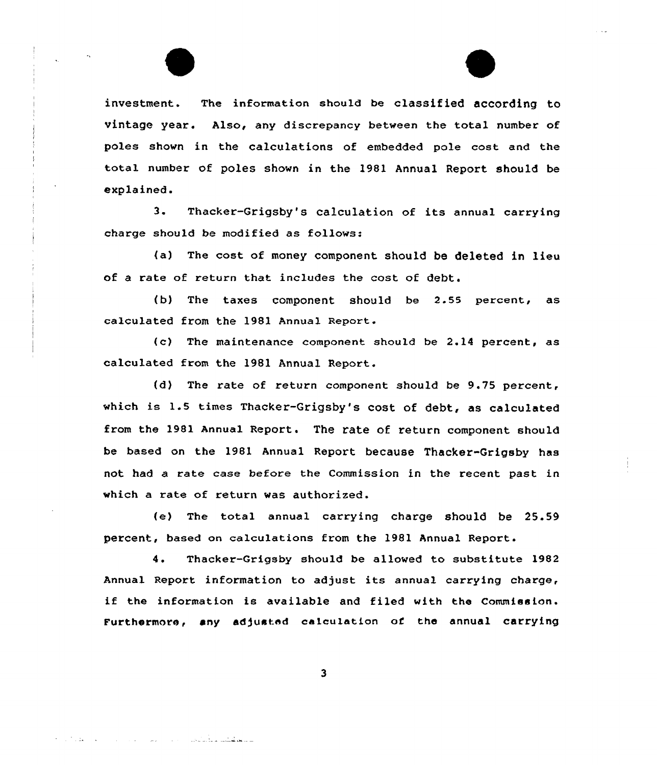investment. The information should be classified according to vintage year. Also, any discrepancy between the total number of poles shown in the calculations of embedded pole cost and the total number of poles shown in the 1981 Annual Report should be explained.

3. Thacker-Grigsby's calculation of its annual carrying charge should be modified as follows:

(a) The cost of money component should be deleted in lieu of a rate of return that includes the cost of debt.

(b) The taxes component should be 2.55 percent, as calculated from the 1981 Annual Report.

(c) The maintenance component should be 2.14 percent, as calculated from the 1981 Annual Report.

(d) The rate of return component should be 9.75 percent, which is 1.5 times Thacker-Grigsby's cost of debt, as calculated from the 1981 Annual Report. The rate of return component should be based on the 1981 Annual Report because Thacker-Grigsby has not had a rate case before the Commission in the recent past in which a rate of return was authorized.

(e) The total annual carrying charge should be 25.59 percent, based on calculations from the 1981 Annual Report.

4. Thacker-Grigsby should be allowed to substitute 1982 Annual Report information to adjust its annual carrying charge, if the information is available and filed with the Commission. Furthermore, any adjusted calculation of the annual carrying

 $\overline{\mathbf{3}}$ 

والمعطوفيتين وللأماني والمرادا المتوارد المادار المرادي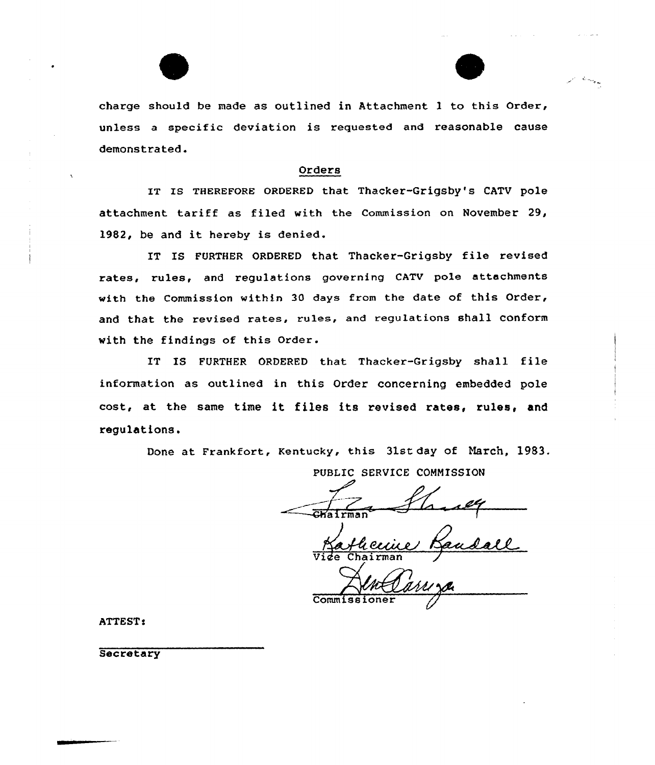



charge should be made as outlined in Attachment 1 to this Order, unless <sup>a</sup> specific deviation is requested and reasonable cause demonstrated.

# Orders

IT Is THEREFQRE oRDERED that Thacker-Grigsby's CATV pole attachment tariff as filed with the Commission on November 29, 1982, be and it hereby is denied.

IT IS FURTHER ORDERED that Thacker-Grigsby file revised rates, rules, and regulations governing CATV pole attachments with the Commission within 30 days from the date of this Order, and that the revised rates, rules, and regulations shall Conform with the findings of this Order.

IT IS FURTHER ORDERED that Thacker-Grigsby shall file information as outlined in this Order concerning embedded pole cost, at the same time it files its revised rates, rules< and regulations.

Done at Frankfort, Kentucky, this 31st day of March, 1983.

PUBLIC SERVICE COMMISSION

 $\sqrt{\frac{1}{\text{G}}\text{Katr}}$ ma

Vide Chairman

Commis

ATTEST!

**Secretary**